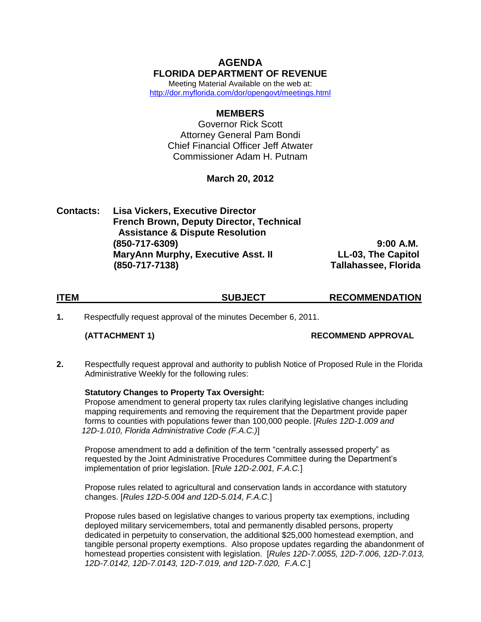# **AGENDA FLORIDA DEPARTMENT OF REVENUE**

Meeting Material Available on the web at: <http://dor.myflorida.com/dor/opengovt/meetings.html>

## **MEMBERS**

Governor Rick Scott Attorney General Pam Bondi Chief Financial Officer Jeff Atwater Commissioner Adam H. Putnam

# **March 20, 2012**

| <b>Contacts:</b> | <b>Lisa Vickers, Executive Director</b>         |                             |
|------------------|-------------------------------------------------|-----------------------------|
|                  | <b>French Brown, Deputy Director, Technical</b> |                             |
|                  | <b>Assistance &amp; Dispute Resolution</b>      |                             |
|                  | $(850 - 717 - 6309)$                            | $9:00$ A.M.                 |
|                  | <b>MaryAnn Murphy, Executive Asst. II</b>       | LL-03, The Capitol          |
|                  | $(850 - 717 - 7138)$                            | <b>Tallahassee, Florida</b> |

| <b>ITEM</b> | <b>SUBJECT</b> | <b>RECOMMENDATION</b> |
|-------------|----------------|-----------------------|
|             |                |                       |

**1.** Respectfully request approval of the minutes December 6, 2011.

**(ATTACHMENT 1) RECOMMEND APPROVAL**

**2.** Respectfully request approval and authority to publish Notice of Proposed Rule in the Florida Administrative Weekly for the following rules:

## **Statutory Changes to Property Tax Oversight:**

Propose amendment to general property tax rules clarifying legislative changes including mapping requirements and removing the requirement that the Department provide paper forms to counties with populations fewer than 100,000 people. [*Rules 12D-1.009 and 12D-1.010, Florida Administrative Code (F.A.C.)*]

Propose amendment to add a definition of the term "centrally assessed property" as requested by the Joint Administrative Procedures Committee during the Department's implementation of prior legislation. [*Rule 12D-2.001, F.A.C.*]

Propose rules related to agricultural and conservation lands in accordance with statutory changes. [*Rules 12D-5.004 and 12D-5.014, F.A.C.*]

Propose rules based on legislative changes to various property tax exemptions, including deployed military servicemembers, total and permanently disabled persons, property dedicated in perpetuity to conservation, the additional \$25,000 homestead exemption, and tangible personal property exemptions. Also propose updates regarding the abandonment of homestead properties consistent with legislation. [*Rules 12D-7.0055, 12D-7.006, 12D-7.013, 12D-7.0142, 12D-7.0143, 12D-7.019, and 12D-7.020, F.A.C.*]